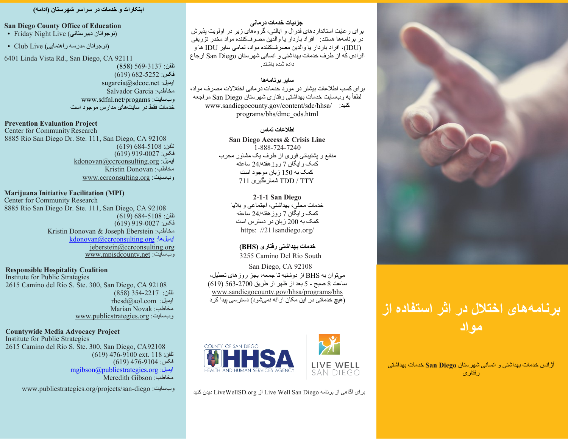## **ابتکارات و خدمات در سراسر شھرستان (ادامھ)**

## **San Diego County Office of Education**

• Friday Night Live (نوجوانان دبیرستانی)

(نوجوانان مدرسھ راھنمایی) Live Club•

6401 Linda Vista Rd., San Diego, CA 92111

تلفن: 569-3137 (858) فکس: 682-5252 (619) sugarcia@sdcoe.net :ایمیل Salvador Garcia :مخاطب www.sdfnl.net/progams :وبسایت خدمات فقط در سایتھای مدارس موجود است

#### **Prevention Evaluation Project**

Center for Community Research 8885 Rio San Diego Dr. Ste. 111, San Diego, CA 92108 تلفن: 684-5108 (619)  $(619)$ 919-0027 فکس: [kdonovan@ccrconsulting.org](mailto:kdonovan@ccrconsulting.org) :ایمیل Kristin Donovan :مخاطب [www.ccrconsulting.org](http://www.ccrconsulting.org/) :وبسایت

## **Marijuana Initiative Facilitation (MPI)**

Center for Community Research 8885 Rio San Diego Dr. Ste. 111, San Diego, CA 92108 تلفن: 684-5108 (619) فکس: 919-0027 (619) Kristin Donovan & Joseph Eberstein :مخاطب [kdonovan@ccrconsulting.org](mailto:%D8%A7%DB%8C%D9%85%DB%8C%D9%84%D9%87%D8%A7:%20kdonovan@ccrconsulting.org) :[ھا ایمیل](mailto:%D8%A7%DB%8C%D9%85%DB%8C%D9%84%D9%87%D8%A7:%20kdonovan@ccrconsulting.org) [jeberstein@ccrconsulting.org](mailto:jeberstein@ccrconsulting.org) [www.mpisdcounty.net](http://www.mpisdcounty.net/) :وبسایت

## **Responsible Hospitality Coalition**

Institute for Public Strategies 2615 Camino del Rio S. Ste. 300, San Diego, CA 92108 تلفن: 354-2217 (858)  [rhcsd@aol.com](mailto:rhcsd@aol.com) [:ایمیل](mailto:rhcsd@aol.com) Marian Novak :مخاطب [www.publicstrategies.org](http://www.publicstrategies.org/) :وبسایت

#### **Countywide Media Advocacy Project**

Institute for Public Strategies 2615 Camino del Rio S. Ste. 300, San Diego, CA92108  $(619)$  476-9100 ext. 118 نلفن: فکس: 476-9104 (619)  [mgibson@publicstrategies.org](mailto:%D8%A7%DB%8C%D9%85%DB%8C%D9%84:%20%20mgibson@publicstrategies.org) [:ایمیل](mailto:%D8%A7%DB%8C%D9%85%DB%8C%D9%84:%20%20mgibson@publicstrategies.org) Meredith Gibson :مخاطب  [www.publicstrategies.org/projects/san-diego](http://www.publicstrategies.org/projects/san-diego) :وبسایت **جزئیات خدمات درمانی** 

برای رعایت استانداردھای فدرال و ایالتی، گروهھای زیر در اولویت پذیرش در برنامھھا ھستند: افراد باردار یا والدین مصرفکننده مواد مخدر تزریقی (IDU(، افراد باردار یا والدین مصرفکننده مواد، تمامی سایر IDU ھا و افرادی کھ از طرف خدمات بھداشتی و انسانی شھرستان Diego San ارجاع داده شده باشند.

## **سایر برنامھھا**

برای کسب اطلاعات بیشتر در مورد خدمات درمانی اختلالات مصرف مواد، لطفا سایت خدمات بھداشتی رفتاری شھرستان Diego San مراجعھ ً بھ وب www.sandiegocounty.gov/content/sdc/hhsa/ :کنید programs/bhs/dmc\_ods.html

#### **اطلاعات تماس**

**San Diego Access & Crisis Line** 1-888-724-7240 منابع و پشتیبانی فوری از طرف یک مشاور مجرب کمک رایگان 7 روزھفتھ24/ ساعتھ کمک بھ 150 زبان موجود است 711 شمارهگیری TDD / TTY

**2-1-1 San Diego** خدمات محلی، بھداشتی، اجتماعی و بلایا کمک رایگان 7 روزھفتھ24/ ساعتھ کمک بھ 200 زبان در دسترس است https: //211sandiego.org/

## **خدمات بھداشتی رفتاری (BHS (** 3255 Camino Del Rio South San Diego, CA 92108 میتوان بھ BHS از دوشنبھ تا جمعھ، بجز روزھای تعطیل، ساعت 8 صبح - 5 بعد از ظھر از طریق 563-2700 (619) [www.sandiegocounty.gov/hhsa/programs/bhs](http://www.sandiegocounty.gov/hhsa/programs/bhs) (ھیچ خدماتی در این مکان ارائھ نمیشود) دسترسی پیدا کرد



برای آگاهی از برنامه Live Well San Diego از LiveWellSD.org دیدن کنید



# **برنامھھای اختلال در اثر استفاده از مواد**

آژانس خدمات بھداشتی و انسانی شھرستان **Diego San** خدمات بھداشتی رفتاری